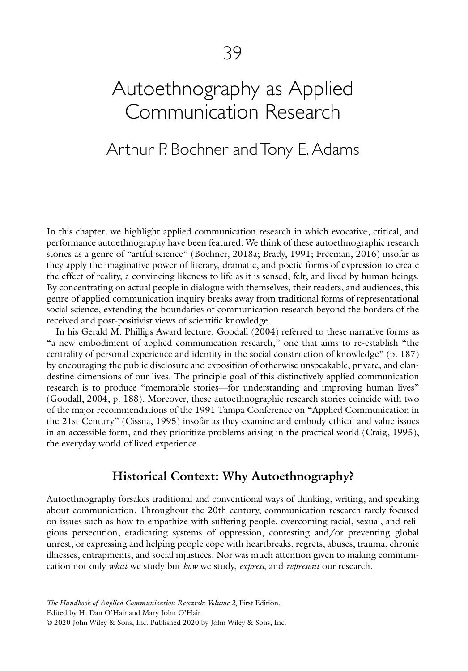# Autoethnography as Applied Communication Research

# Arthur P. Bochner and Tony E. Adams

In this chapter, we highlight applied communication research in which evocative, critical, and performance autoethnography have been featured. We think of these autoethnographic research stories as a genre of "artful science" (Bochner, 2018a; Brady, 1991; Freeman, 2016) insofar as they apply the imaginative power of literary, dramatic, and poetic forms of expression to create the effect of reality, a convincing likeness to life as it is sensed, felt, and lived by human beings. By concentrating on actual people in dialogue with themselves, their readers, and audiences, this genre of applied communication inquiry breaks away from traditional forms of representational social science, extending the boundaries of communication research beyond the borders of the received and post‐positivist views of scientific knowledge.

In his Gerald M. Phillips Award lecture, Goodall (2004) referred to these narrative forms as "a new embodiment of applied communication research," one that aims to re‐establish "the centrality of personal experience and identity in the social construction of knowledge" (p. 187) by encouraging the public disclosure and exposition of otherwise unspeakable, private, and clandestine dimensions of our lives. The principle goal of this distinctively applied communication research is to produce "memorable stories—for understanding and improving human lives" (Goodall, 2004, p. 188). Moreover, these autoethnographic research stories coincide with two of the major recommendations of the 1991 Tampa Conference on "Applied Communication in the 21st Century" (Cissna, 1995) insofar as they examine and embody ethical and value issues in an accessible form, and they prioritize problems arising in the practical world (Craig, 1995), the everyday world of lived experience.

### **Historical Context: Why Autoethnography?**

Autoethnography forsakes traditional and conventional ways of thinking, writing, and speaking about communication. Throughout the 20th century, communication research rarely focused on issues such as how to empathize with suffering people, overcoming racial, sexual, and religious persecution, eradicating systems of oppression, contesting and/or preventing global unrest, or expressing and helping people cope with heartbreaks, regrets, abuses, trauma, chronic illnesses, entrapments, and social injustices. Nor was much attention given to making communication not only *what* we study but *how* we study, *express*, and *represent* our research.

*The Handbook of Applied Communication Research: Volume 2*, First Edition. Edited by H. Dan O'Hair and Mary John O'Hair. © 2020 John Wiley & Sons, Inc. Published 2020 by John Wiley & Sons, Inc.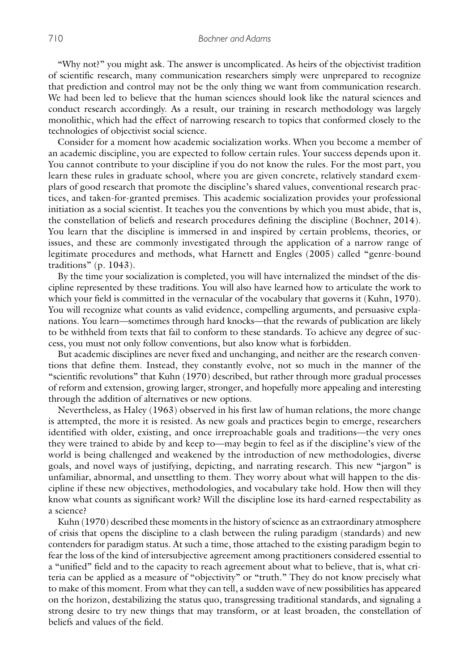"Why not?" you might ask. The answer is uncomplicated. As heirs of the objectivist tradition of scientific research, many communication researchers simply were unprepared to recognize that prediction and control may not be the only thing we want from communication research. We had been led to believe that the human sciences should look like the natural sciences and conduct research accordingly. As a result, our training in research methodology was largely monolithic, which had the effect of narrowing research to topics that conformed closely to the technologies of objectivist social science.

Consider for a moment how academic socialization works. When you become a member of an academic discipline, you are expected to follow certain rules. Your success depends upon it. You cannot contribute to your discipline if you do not know the rules. For the most part, you learn these rules in graduate school, where you are given concrete, relatively standard exemplars of good research that promote the discipline's shared values, conventional research practices, and taken‐for‐granted premises. This academic socialization provides your professional initiation as a social scientist. It teaches you the conventions by which you must abide, that is, the constellation of beliefs and research procedures defining the discipline (Bochner, 2014). You learn that the discipline is immersed in and inspired by certain problems, theories, or issues, and these are commonly investigated through the application of a narrow range of legitimate procedures and methods, what Harnett and Engles (2005) called "genre‐bound traditions" (p. 1043).

By the time your socialization is completed, you will have internalized the mindset of the discipline represented by these traditions. You will also have learned how to articulate the work to which your field is committed in the vernacular of the vocabulary that governs it (Kuhn, 1970). You will recognize what counts as valid evidence, compelling arguments, and persuasive explanations. You learn—sometimes through hard knocks—that the rewards of publication are likely to be withheld from texts that fail to conform to these standards. To achieve any degree of success, you must not only follow conventions, but also know what is forbidden.

But academic disciplines are never fixed and unchanging, and neither are the research conventions that define them. Instead, they constantly evolve, not so much in the manner of the "scientific revolutions" that Kuhn (1970) described, but rather through more gradual processes of reform and extension, growing larger, stronger, and hopefully more appealing and interesting through the addition of alternatives or new options.

Nevertheless, as Haley (1963) observed in his first law of human relations, the more change is attempted, the more it is resisted. As new goals and practices begin to emerge, researchers identified with older, existing, and once irreproachable goals and traditions—the very ones they were trained to abide by and keep to—may begin to feel as if the discipline's view of the world is being challenged and weakened by the introduction of new methodologies, diverse goals, and novel ways of justifying, depicting, and narrating research. This new "jargon" is unfamiliar, abnormal, and unsettling to them. They worry about what will happen to the discipline if these new objectives, methodologies, and vocabulary take hold. How then will they know what counts as significant work? Will the discipline lose its hard-earned respectability as a science?

Kuhn (1970) described these moments in the history of science as an extraordinary atmosphere of crisis that opens the discipline to a clash between the ruling paradigm (standards) and new contenders for paradigm status. At such a time, those attached to the existing paradigm begin to fear the loss of the kind of intersubjective agreement among practitioners considered essential to a "unified" field and to the capacity to reach agreement about what to believe, that is, what criteria can be applied as a measure of "objectivity" or "truth." They do not know precisely what to make of this moment. From what they can tell, a sudden wave of new possibilities has appeared on the horizon, destabilizing the status quo, transgressing traditional standards, and signaling a strong desire to try new things that may transform, or at least broaden, the constellation of beliefs and values of the field.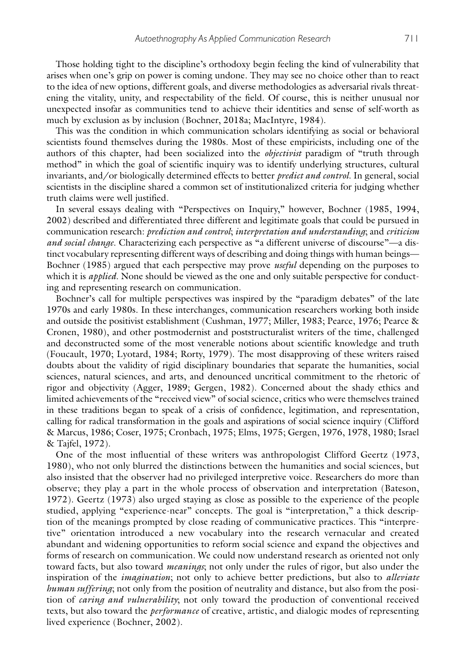Those holding tight to the discipline's orthodoxy begin feeling the kind of vulnerability that arises when one's grip on power is coming undone. They may see no choice other than to react to the idea of new options, different goals, and diverse methodologies as adversarial rivals threatening the vitality, unity, and respectability of the field. Of course, this is neither unusual nor unexpected insofar as communities tend to achieve their identities and sense of self-worth as much by exclusion as by inclusion (Bochner, 2018a; MacIntyre, 1984).

This was the condition in which communication scholars identifying as social or behavioral scientists found themselves during the 1980s. Most of these empiricists, including one of the authors of this chapter, had been socialized into the *objectivist* paradigm of "truth through method" in which the goal of scientific inquiry was to identify underlying structures, cultural invariants, and/or biologically determined effects to better *predict and control*. In general, social scientists in the discipline shared a common set of institutionalized criteria for judging whether truth claims were well justified.

In several essays dealing with "Perspectives on Inquiry," however, Bochner (1985, 1994, 2002) described and differentiated three different and legitimate goals that could be pursued in communication research: *prediction and control*; *interpretation and understanding*; and *criticism and social change*. Characterizing each perspective as "a different universe of discourse"—a distinct vocabulary representing different ways of describing and doing things with human beings— Bochner (1985) argued that each perspective may prove *useful* depending on the purposes to which it is *applied*. None should be viewed as the one and only suitable perspective for conducting and representing research on communication.

Bochner's call for multiple perspectives was inspired by the "paradigm debates" of the late 1970s and early 1980s. In these interchanges, communication researchers working both inside and outside the positivist establishment (Cushman, 1977; Miller, 1983; Pearce, 1976; Pearce & Cronen, 1980), and other postmodernist and poststructuralist writers of the time, challenged and deconstructed some of the most venerable notions about scientific knowledge and truth (Foucault, 1970; Lyotard, 1984; Rorty, 1979). The most disapproving of these writers raised doubts about the validity of rigid disciplinary boundaries that separate the humanities, social sciences, natural sciences, and arts, and denounced uncritical commitment to the rhetoric of rigor and objectivity (Agger, 1989; Gergen, 1982). Concerned about the shady ethics and limited achievements of the "received view" of social science, critics who were themselves trained in these traditions began to speak of a crisis of confidence, legitimation, and representation, calling for radical transformation in the goals and aspirations of social science inquiry (Clifford & Marcus, 1986; Coser, 1975; Cronbach, 1975; Elms, 1975; Gergen, 1976, 1978, 1980; Israel & Tajfel, 1972).

One of the most influential of these writers was anthropologist Clifford Geertz (1973, 1980), who not only blurred the distinctions between the humanities and social sciences, but also insisted that the observer had no privileged interpretive voice. Researchers do more than observe; they play a part in the whole process of observation and interpretation (Bateson, 1972). Geertz (1973) also urged staying as close as possible to the experience of the people studied, applying "experience‐near" concepts. The goal is "interpretation," a thick description of the meanings prompted by close reading of communicative practices. This "interpretive" orientation introduced a new vocabulary into the research vernacular and created abundant and widening opportunities to reform social science and expand the objectives and forms of research on communication. We could now understand research as oriented not only toward facts, but also toward *meanings*; not only under the rules of rigor, but also under the inspiration of the *imagination*; not only to achieve better predictions, but also to *alleviate human suffering*; not only from the position of neutrality and distance, but also from the position of *caring and vulnerability*; not only toward the production of conventional received texts, but also toward the *performance* of creative, artistic, and dialogic modes of representing lived experience (Bochner, 2002).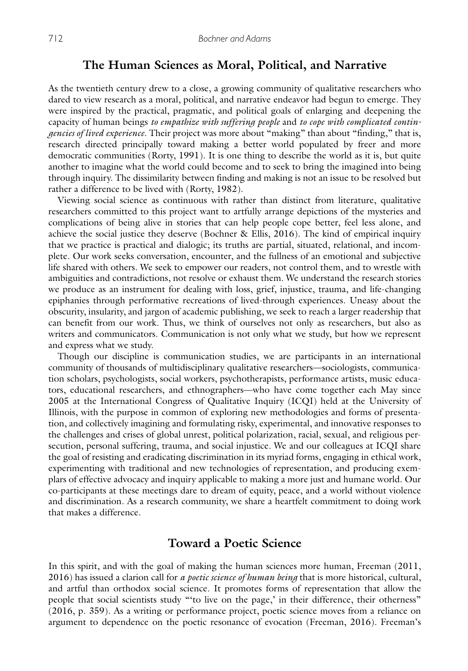#### **The Human Sciences as Moral, Political, and Narrative**

As the twentieth century drew to a close, a growing community of qualitative researchers who dared to view research as a moral, political, and narrative endeavor had begun to emerge. They were inspired by the practical, pragmatic, and political goals of enlarging and deepening the capacity of human beings *to empathize with suffering people* and *to cope with complicated contingencies of lived experience*. Their project was more about "making" than about "finding," that is, research directed principally toward making a better world populated by freer and more democratic communities (Rorty, 1991). It is one thing to describe the world as it is, but quite another to imagine what the world could become and to seek to bring the imagined into being through inquiry. The dissimilarity between finding and making is not an issue to be resolved but rather a difference to be lived with (Rorty, 1982).

Viewing social science as continuous with rather than distinct from literature, qualitative researchers committed to this project want to artfully arrange depictions of the mysteries and complications of being alive in stories that can help people cope better, feel less alone, and achieve the social justice they deserve (Bochner & Ellis, 2016). The kind of empirical inquiry that we practice is practical and dialogic; its truths are partial, situated, relational, and incomplete. Our work seeks conversation, encounter, and the fullness of an emotional and subjective life shared with others. We seek to empower our readers, not control them, and to wrestle with ambiguities and contradictions, not resolve or exhaust them. We understand the research stories we produce as an instrument for dealing with loss, grief, injustice, trauma, and life-changing epiphanies through performative recreations of lived‐through experiences. Uneasy about the obscurity, insularity, and jargon of academic publishing, we seek to reach a larger readership that can benefit from our work. Thus, we think of ourselves not only as researchers, but also as writers and communicators. Communication is not only what we study, but how we represent and express what we study.

Though our discipline is communication studies, we are participants in an international community of thousands of multidisciplinary qualitative researchers—sociologists, communication scholars, psychologists, social workers, psychotherapists, performance artists, music educators, educational researchers, and ethnographers—who have come together each May since 2005 at the International Congress of Qualitative Inquiry (ICQI) held at the University of Illinois, with the purpose in common of exploring new methodologies and forms of presentation, and collectively imagining and formulating risky, experimental, and innovative responses to the challenges and crises of global unrest, political polarization, racial, sexual, and religious persecution, personal suffering, trauma, and social injustice. We and our colleagues at ICQI share the goal of resisting and eradicating discrimination in its myriad forms, engaging in ethical work, experimenting with traditional and new technologies of representation, and producing exemplars of effective advocacy and inquiry applicable to making a more just and humane world. Our co‐participants at these meetings dare to dream of equity, peace, and a world without violence and discrimination. As a research community, we share a heartfelt commitment to doing work that makes a difference.

# **Toward a Poetic Science**

In this spirit, and with the goal of making the human sciences more human, Freeman (2011, 2016) has issued a clarion call for *a poetic science of human being* that is more historical, cultural, and artful than orthodox social science. It promotes forms of representation that allow the people that social scientists study "'to live on the page,' in their difference, their otherness" (2016, p. 359). As a writing or performance project, poetic science moves from a reliance on argument to dependence on the poetic resonance of evocation (Freeman, 2016). Freeman's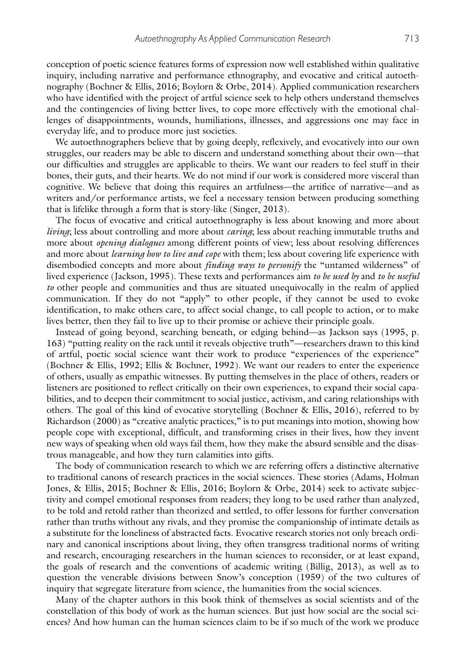conception of poetic science features forms of expression now well established within qualitative inquiry, including narrative and performance ethnography, and evocative and critical autoethnography (Bochner & Ellis, 2016; Boylorn & Orbe, 2014). Applied communication researchers who have identified with the project of artful science seek to help others understand themselves and the contingencies of living better lives, to cope more effectively with the emotional challenges of disappointments, wounds, humiliations, illnesses, and aggressions one may face in everyday life, and to produce more just societies.

We autoethnographers believe that by going deeply, reflexively, and evocatively into our own struggles, our readers may be able to discern and understand something about their own—that our difficulties and struggles are applicable to theirs. We want our readers to feel stuff in their bones, their guts, and their hearts. We do not mind if our work is considered more visceral than cognitive. We believe that doing this requires an artfulness—the artifice of narrative—and as writers and/or performance artists, we feel a necessary tension between producing something that is lifelike through a form that is story‐like (Singer, 2013).

The focus of evocative and critical autoethnography is less about knowing and more about *living*; less about controlling and more about *caring*; less about reaching immutable truths and more about *opening dialogues* among different points of view; less about resolving differences and more about *learning how to live and cope* with them; less about covering life experience with disembodied concepts and more about *finding ways to personify* the "untamed wilderness" of lived experience (Jackson, 1995). These texts and performances aim *to be used by* and *to be useful to* other people and communities and thus are situated unequivocally in the realm of applied communication. If they do not "apply" to other people, if they cannot be used to evoke identification, to make others care, to affect social change, to call people to action, or to make lives better, then they fail to live up to their promise or achieve their principle goals.

Instead of going beyond, searching beneath, or edging behind—as Jackson says (1995, p. 163) "putting reality on the rack until it reveals objective truth"—researchers drawn to this kind of artful, poetic social science want their work to produce "experiences of the experience" (Bochner & Ellis, 1992; Ellis & Bochner, 1992). We want our readers to enter the experience of others, usually as empathic witnesses. By putting themselves in the place of others, readers or listeners are positioned to reflect critically on their own experiences, to expand their social capabilities, and to deepen their commitment to social justice, activism, and caring relationships with others. The goal of this kind of evocative storytelling (Bochner & Ellis, 2016), referred to by Richardson (2000) as "creative analytic practices," is to put meanings into motion, showing how people cope with exceptional, difficult, and transforming crises in their lives, how they invent new ways of speaking when old ways fail them, how they make the absurd sensible and the disastrous manageable, and how they turn calamities into gifts.

The body of communication research to which we are referring offers a distinctive alternative to traditional canons of research practices in the social sciences. These stories (Adams, Holman Jones, & Ellis, 2015; Bochner & Ellis, 2016; Boylorn & Orbe, 2014) seek to activate subjectivity and compel emotional responses from readers; they long to be used rather than analyzed, to be told and retold rather than theorized and settled, to offer lessons for further conversation rather than truths without any rivals, and they promise the companionship of intimate details as a substitute for the loneliness of abstracted facts. Evocative research stories not only breach ordinary and canonical inscriptions about living, they often transgress traditional norms of writing and research, encouraging researchers in the human sciences to reconsider, or at least expand, the goals of research and the conventions of academic writing (Billig, 2013), as well as to question the venerable divisions between Snow's conception (1959) of the two cultures of inquiry that segregate literature from science, the humanities from the social sciences.

Many of the chapter authors in this book think of themselves as social scientists and of the constellation of this body of work as the human sciences. But just how social are the social sciences? And how human can the human sciences claim to be if so much of the work we produce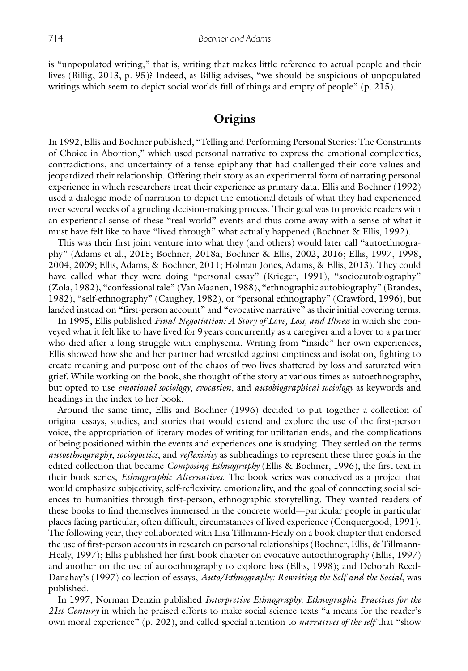is "unpopulated writing," that is, writing that makes little reference to actual people and their lives (Billig, 2013, p. 95)? Indeed, as Billig advises, "we should be suspicious of unpopulated writings which seem to depict social worlds full of things and empty of people" (p. 215).

# **Origins**

In 1992, Ellis and Bochner published, "Telling and Performing Personal Stories: The Constraints of Choice in Abortion," which used personal narrative to express the emotional complexities, contradictions, and uncertainty of a tense epiphany that had challenged their core values and jeopardized their relationship. Offering their story as an experimental form of narrating personal experience in which researchers treat their experience as primary data, Ellis and Bochner (1992) used a dialogic mode of narration to depict the emotional details of what they had experienced over several weeks of a grueling decision‐making process. Their goal was to provide readers with an experiential sense of these "real‐world" events and thus come away with a sense of what it must have felt like to have "lived through" what actually happened (Bochner & Ellis, 1992).

This was their first joint venture into what they (and others) would later call "autoethnography" (Adams et al., 2015; Bochner, 2018a; Bochner & Ellis, 2002, 2016; Ellis, 1997, 1998, 2004, 2009; Ellis, Adams, & Bochner, 2011; Holman Jones, Adams, & Ellis, 2013). They could have called what they were doing "personal essay" (Krieger, 1991), "socioautobiography" (Zola, 1982), "confessional tale" (Van Maanen, 1988), "ethnographic autobiography" (Brandes, 1982), "self‐ethnography" (Caughey, 1982), or "personal ethnography" (Crawford, 1996), but landed instead on "first-person account" and "evocative narrative" as their initial covering terms.

In 1995, Ellis published *Final Negotiation: A Story of Love, Loss, and Illness* in which she conveyed what it felt like to have lived for 9years concurrently as a caregiver and a lover to a partner who died after a long struggle with emphysema. Writing from "inside" her own experiences, Ellis showed how she and her partner had wrestled against emptiness and isolation, fighting to create meaning and purpose out of the chaos of two lives shattered by loss and saturated with grief. While working on the book, she thought of the story at various times as autoethnography, but opted to use *emotional sociology*, *evocation*, and *autobiographical sociology* as keywords and headings in the index to her book.

Around the same time, Ellis and Bochner (1996) decided to put together a collection of original essays, studies, and stories that would extend and explore the use of the first‐person voice, the appropriation of literary modes of writing for utilitarian ends, and the complications of being positioned within the events and experiences one is studying. They settled on the terms *autoethnography*, *sociopoetics*, and *reflexivity* as subheadings to represent these three goals in the edited collection that became *Composing Ethnography* (Ellis & Bochner, 1996), the first text in their book series, *Ethnographic Alternatives*. The book series was conceived as a project that would emphasize subjectivity, self-reflexivity, emotionality, and the goal of connecting social sciences to humanities through first-person, ethnographic storytelling. They wanted readers of these books to find themselves immersed in the concrete world—particular people in particular places facing particular, often difficult, circumstances of lived experience (Conquergood, 1991). The following year, they collaborated with Lisa Tillmann‐Healy on a book chapter that endorsed the use of first-person accounts in research on personal relationships (Bochner, Ellis, & Tillmann-Healy, 1997); Ellis published her first book chapter on evocative autoethnography (Ellis, 1997) and another on the use of autoethnography to explore loss (Ellis, 1998); and Deborah Reed‐ Danahay's (1997) collection of essays, *Auto/Ethnography: Rewriting the Self and the Social*, was published.

In 1997, Norman Denzin published *Interpretive Ethnography: Ethnographic Practices for the 21st Century* in which he praised efforts to make social science texts "a means for the reader's own moral experience" (p. 202), and called special attention to *narratives of the self* that "show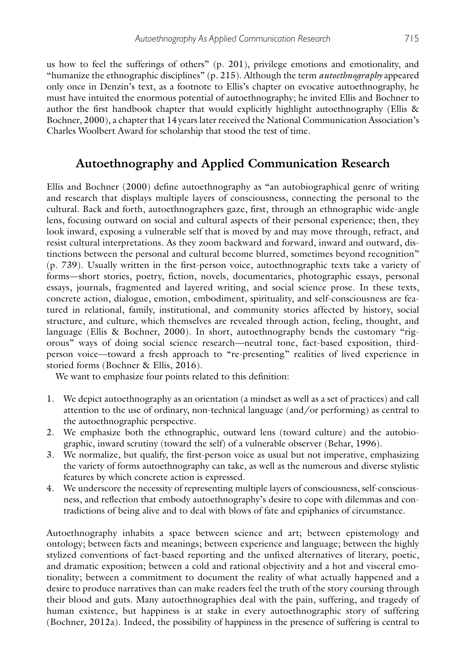us how to feel the sufferings of others" (p. 201), privilege emotions and emotionality, and "humanize the ethnographic disciplines" (p. 215). Although the term *autoethnography* appeared only once in Denzin's text, as a footnote to Ellis's chapter on evocative autoethnography, he must have intuited the enormous potential of autoethnography; he invited Ellis and Bochner to author the first handbook chapter that would explicitly highlight autoethnography (Ellis & Bochner, 2000), a chapter that 14years later received the National Communication Association's Charles Woolbert Award for scholarship that stood the test of time.

# **Autoethnography and Applied Communication Research**

Ellis and Bochner (2000) define autoethnography as "an autobiographical genre of writing and research that displays multiple layers of consciousness, connecting the personal to the cultural. Back and forth, autoethnographers gaze, first, through an ethnographic wide‐angle lens, focusing outward on social and cultural aspects of their personal experience; then, they look inward, exposing a vulnerable self that is moved by and may move through, refract, and resist cultural interpretations. As they zoom backward and forward, inward and outward, distinctions between the personal and cultural become blurred, sometimes beyond recognition"  $(p. 739)$ . Usually written in the first-person voice, autoethnographic texts take a variety of forms—short stories, poetry, fiction, novels, documentaries, photographic essays, personal essays, journals, fragmented and layered writing, and social science prose. In these texts, concrete action, dialogue, emotion, embodiment, spirituality, and self‐consciousness are featured in relational, family, institutional, and community stories affected by history, social structure, and culture, which themselves are revealed through action, feeling, thought, and language (Ellis & Bochner, 2000). In short, autoethnography bends the customary "rigorous" ways of doing social science research—neutral tone, fact‐based exposition, third‐ person voice—toward a fresh approach to "re‐presenting" realities of lived experience in storied forms (Bochner & Ellis, 2016).

We want to emphasize four points related to this definition:

- 1. We depict autoethnography as an orientation (a mindset as well as a set of practices) and call attention to the use of ordinary, non‐technical language (and/or performing) as central to the autoethnographic perspective.
- 2. We emphasize both the ethnographic, outward lens (toward culture) and the autobiographic, inward scrutiny (toward the self) of a vulnerable observer (Behar, 1996).
- 3. We normalize, but qualify, the first‐person voice as usual but not imperative, emphasizing the variety of forms autoethnography can take, as well as the numerous and diverse stylistic features by which concrete action is expressed.
- 4. We underscore the necessity of representing multiple layers of consciousness, self-consciousness, and reflection that embody autoethnography's desire to cope with dilemmas and contradictions of being alive and to deal with blows of fate and epiphanies of circumstance.

Autoethnography inhabits a space between science and art; between epistemology and ontology; between facts and meanings; between experience and language; between the highly stylized conventions of fact‐based reporting and the unfixed alternatives of literary, poetic, and dramatic exposition; between a cold and rational objectivity and a hot and visceral emotionality; between a commitment to document the reality of what actually happened and a desire to produce narratives than can make readers feel the truth of the story coursing through their blood and guts. Many autoethnographies deal with the pain, suffering, and tragedy of human existence, but happiness is at stake in every autoethnographic story of suffering (Bochner, 2012a). Indeed, the possibility of happiness in the presence of suffering is central to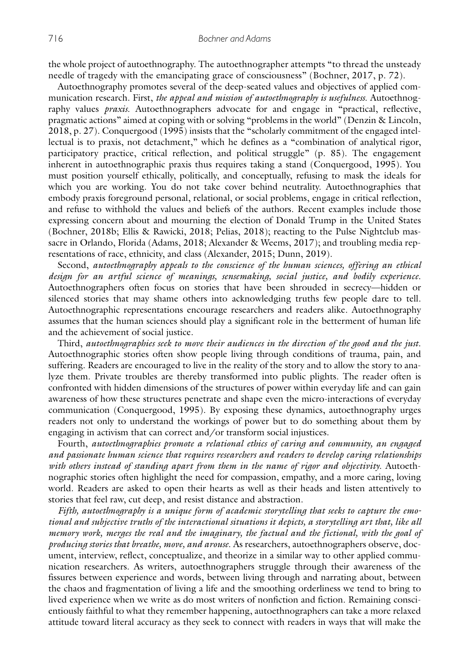the whole project of autoethnography. The autoethnographer attempts "to thread the unsteady needle of tragedy with the emancipating grace of consciousness" (Bochner, 2017, p. 72).

Autoethnography promotes several of the deep‐seated values and objectives of applied communication research. First, *the appeal and mission of autoethnography is usefulness*. Autoethnography values *praxis*. Autoethnographers advocate for and engage in "practical, reflective, pragmatic actions" aimed at coping with or solving "problems in the world" (Denzin & Lincoln, 2018, p. 27). Conquergood (1995) insists that the "scholarly commitment of the engaged intellectual is to praxis, not detachment," which he defines as a "combination of analytical rigor, participatory practice, critical reflection, and political struggle" (p. 85). The engagement inherent in autoethnographic praxis thus requires taking a stand (Conquergood, 1995). You must position yourself ethically, politically, and conceptually, refusing to mask the ideals for which you are working. You do not take cover behind neutrality. Autoethnographies that embody praxis foreground personal, relational, or social problems, engage in critical reflection, and refuse to withhold the values and beliefs of the authors. Recent examples include those expressing concern about and mourning the election of Donald Trump in the United States (Bochner, 2018b; Ellis & Rawicki, 2018; Pelias, 2018); reacting to the Pulse Nightclub massacre in Orlando, Florida (Adams, 2018; Alexander & Weems, 2017); and troubling media representations of race, ethnicity, and class (Alexander, 2015; Dunn, 2019).

Second, *autoethnography appeals to the conscience of the human sciences, offering an ethical design for an artful science of meanings, sensemaking, social justice, and bodily experience*. Autoethnographers often focus on stories that have been shrouded in secrecy—hidden or silenced stories that may shame others into acknowledging truths few people dare to tell. Autoethnographic representations encourage researchers and readers alike. Autoethnography assumes that the human sciences should play a significant role in the betterment of human life and the achievement of social justice.

Third, *autoethnographies seek to move their audiences in the direction of the good and the just*. Autoethnographic stories often show people living through conditions of trauma, pain, and suffering. Readers are encouraged to live in the reality of the story and to allow the story to analyze them. Private troubles are thereby transformed into public plights. The reader often is confronted with hidden dimensions of the structures of power within everyday life and can gain awareness of how these structures penetrate and shape even the micro-interactions of everyday communication (Conquergood, 1995). By exposing these dynamics, autoethnography urges readers not only to understand the workings of power but to do something about them by engaging in activism that can correct and/or transform social injustices.

Fourth, *autoethnographies promote a relational ethics of caring and community, an engaged and passionate human science that requires researchers and readers to develop caring relationships with others instead of standing apart from them in the name of rigor and objectivity*. Autoethnographic stories often highlight the need for compassion, empathy, and a more caring, loving world. Readers are asked to open their hearts as well as their heads and listen attentively to stories that feel raw, cut deep, and resist distance and abstraction.

*Fifth, autoethnography is a unique form of academic storytelling that seeks to capture the emotional and subjective truths of the interactional situations it depicts, a storytelling art that, like all memory work, merges the real and the imaginary, the factual and the fictional, with the goal of producing stories that breathe, move, and arouse*. As researchers, autoethnographers observe, document, interview, reflect, conceptualize, and theorize in a similar way to other applied communication researchers. As writers, autoethnographers struggle through their awareness of the fissures between experience and words, between living through and narrating about, between the chaos and fragmentation of living a life and the smoothing orderliness we tend to bring to lived experience when we write as do most writers of nonfiction and fiction. Remaining conscientiously faithful to what they remember happening, autoethnographers can take a more relaxed attitude toward literal accuracy as they seek to connect with readers in ways that will make the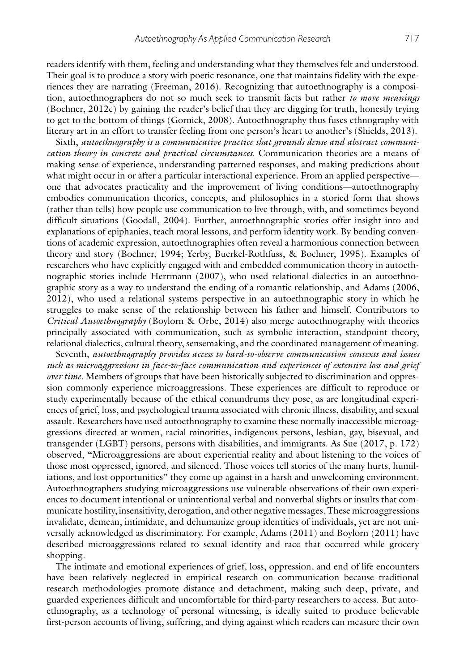readers identify with them, feeling and understanding what they themselves felt and understood. Their goal is to produce a story with poetic resonance, one that maintains fidelity with the experiences they are narrating (Freeman, 2016). Recognizing that autoethnography is a composition, autoethnographers do not so much seek to transmit facts but rather *to move meanings* (Bochner, 2012c) by gaining the reader's belief that they are digging for truth, honestly trying to get to the bottom of things (Gornick, 2008). Autoethnography thus fuses ethnography with literary art in an effort to transfer feeling from one person's heart to another's (Shields, 2013).

Sixth, *autoethnography is a communicative practice that grounds dense and abstract communication theory in concrete and practical circumstances*. Communication theories are a means of making sense of experience, understanding patterned responses, and making predictions about what might occur in or after a particular interactional experience. From an applied perspective one that advocates practicality and the improvement of living conditions—autoethnography embodies communication theories, concepts, and philosophies in a storied form that shows (rather than tells) how people use communication to live through, with, and sometimes beyond difficult situations (Goodall, 2004). Further, autoethnographic stories offer insight into and explanations of epiphanies, teach moral lessons, and perform identity work. By bending conventions of academic expression, autoethnographies often reveal a harmonious connection between theory and story (Bochner, 1994; Yerby, Buerkel‐Rothfuss, & Bochner, 1995). Examples of researchers who have explicitly engaged with and embedded communication theory in autoethnographic stories include Herrmann (2007), who used relational dialectics in an autoethnographic story as a way to understand the ending of a romantic relationship, and Adams (2006, 2012), who used a relational systems perspective in an autoethnographic story in which he struggles to make sense of the relationship between his father and himself. Contributors to *Critical Autoethnography* (Boylorn & Orbe, 2014) also merge autoethnography with theories principally associated with communication, such as symbolic interaction, standpoint theory, relational dialectics, cultural theory, sensemaking, and the coordinated management of meaning.

Seventh, *autoethnography provides access to hard‐to‐observe communication contexts and issues such as microaggressions in face‐to‐face communication and experiences of extensive loss and grief over time*. Members of groups that have been historically subjected to discrimination and oppression commonly experience microaggressions. These experiences are difficult to reproduce or study experimentally because of the ethical conundrums they pose, as are longitudinal experiences of grief, loss, and psychological trauma associated with chronic illness, disability, and sexual assault. Researchers have used autoethnography to examine these normally inaccessible microaggressions directed at women, racial minorities, indigenous persons, lesbian, gay, bisexual, and transgender (LGBT) persons, persons with disabilities, and immigrants. As Sue (2017, p. 172) observed, "Microaggressions are about experiential reality and about listening to the voices of those most oppressed, ignored, and silenced. Those voices tell stories of the many hurts, humiliations, and lost opportunities" they come up against in a harsh and unwelcoming environment. Autoethnographers studying microaggressions use vulnerable observations of their own experiences to document intentional or unintentional verbal and nonverbal slights or insults that communicate hostility, insensitivity, derogation, and other negative messages. These microaggressions invalidate, demean, intimidate, and dehumanize group identities of individuals, yet are not universally acknowledged as discriminatory. For example, Adams (2011) and Boylorn (2011) have described microaggressions related to sexual identity and race that occurred while grocery shopping.

The intimate and emotional experiences of grief, loss, oppression, and end of life encounters have been relatively neglected in empirical research on communication because traditional research methodologies promote distance and detachment, making such deep, private, and guarded experiences difficult and uncomfortable for third‐party researchers to access. But autoethnography, as a technology of personal witnessing, is ideally suited to produce believable first-person accounts of living, suffering, and dying against which readers can measure their own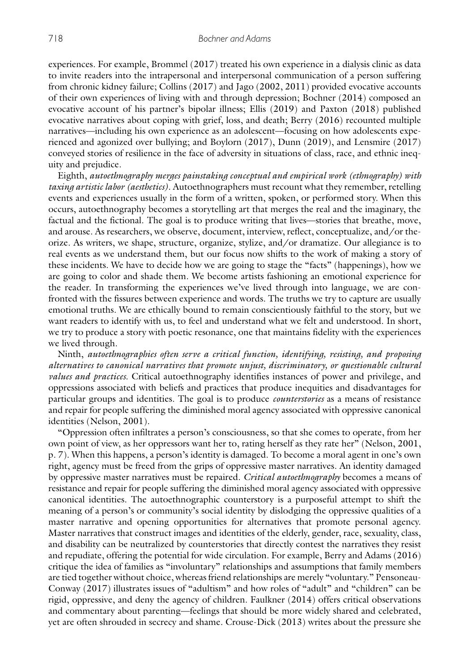experiences. For example, Brommel (2017) treated his own experience in a dialysis clinic as data to invite readers into the intrapersonal and interpersonal communication of a person suffering from chronic kidney failure; Collins (2017) and Jago (2002, 2011) provided evocative accounts of their own experiences of living with and through depression; Bochner (2014) composed an evocative account of his partner's bipolar illness; Ellis (2019) and Paxton (2018) published evocative narratives about coping with grief, loss, and death; Berry (2016) recounted multiple narratives—including his own experience as an adolescent—focusing on how adolescents experienced and agonized over bullying; and Boylorn (2017), Dunn (2019), and Lensmire (2017) conveyed stories of resilience in the face of adversity in situations of class, race, and ethnic inequity and prejudice.

Eighth, *autoethnography merges painstaking conceptual and empirical work (ethnography) with taxing artistic labor (aesthetics)*. Autoethnographers must recount what they remember, retelling events and experiences usually in the form of a written, spoken, or performed story. When this occurs, autoethnography becomes a storytelling art that merges the real and the imaginary, the factual and the fictional. The goal is to produce writing that lives—stories that breathe, move, and arouse. As researchers, we observe, document, interview, reflect, conceptualize, and/or theorize. As writers, we shape, structure, organize, stylize, and/or dramatize. Our allegiance is to real events as we understand them, but our focus now shifts to the work of making a story of these incidents. We have to decide how we are going to stage the "facts" (happenings), how we are going to color and shade them. We become artists fashioning an emotional experience for the reader. In transforming the experiences we've lived through into language, we are confronted with the fissures between experience and words. The truths we try to capture are usually emotional truths. We are ethically bound to remain conscientiously faithful to the story, but we want readers to identify with us, to feel and understand what we felt and understood. In short, we try to produce a story with poetic resonance, one that maintains fidelity with the experiences we lived through.

Ninth, *autoethnographies often serve a critical function, identifying, resisting, and proposing alternatives to canonical narratives that promote unjust, discriminatory, or questionable cultural values and practices*. Critical autoethnography identifies instances of power and privilege, and oppressions associated with beliefs and practices that produce inequities and disadvantages for particular groups and identities. The goal is to produce *counterstories* as a means of resistance and repair for people suffering the diminished moral agency associated with oppressive canonical identities (Nelson, 2001).

"Oppression often infiltrates a person's consciousness, so that she comes to operate, from her own point of view, as her oppressors want her to, rating herself as they rate her" (Nelson, 2001, p. 7). When this happens, a person's identity is damaged. To become a moral agent in one's own right, agency must be freed from the grips of oppressive master narratives. An identity damaged by oppressive master narratives must be repaired. *Critical autoethnography* becomes a means of resistance and repair for people suffering the diminished moral agency associated with oppressive canonical identities. The autoethnographic counterstory is a purposeful attempt to shift the meaning of a person's or community's social identity by dislodging the oppressive qualities of a master narrative and opening opportunities for alternatives that promote personal agency. Master narratives that construct images and identities of the elderly, gender, race, sexuality, class, and disability can be neutralized by counterstories that directly contest the narratives they resist and repudiate, offering the potential for wide circulation. For example, Berry and Adams (2016) critique the idea of families as "involuntary" relationships and assumptions that family members are tied together without choice, whereas friend relationships are merely "voluntary." Pensoneau-Conway (2017) illustrates issues of "adultism" and how roles of "adult" and "children" can be rigid, oppressive, and deny the agency of children. Faulkner (2014) offers critical observations and commentary about parenting—feelings that should be more widely shared and celebrated, yet are often shrouded in secrecy and shame. Crouse‐Dick (2013) writes about the pressure she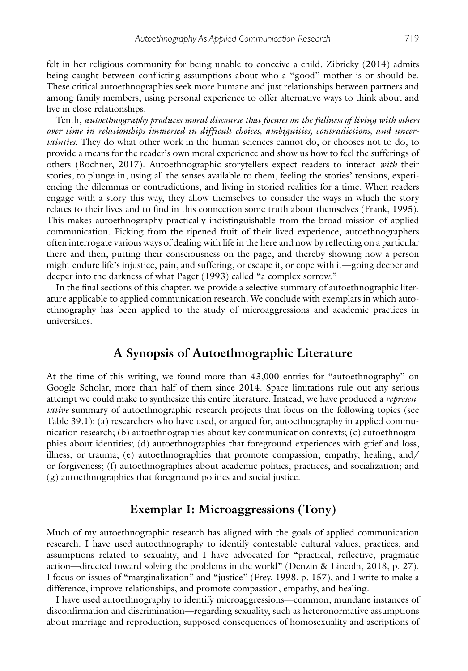felt in her religious community for being unable to conceive a child. Zibricky (2014) admits being caught between conflicting assumptions about who a "good" mother is or should be. These critical autoethnographies seek more humane and just relationships between partners and among family members, using personal experience to offer alternative ways to think about and live in close relationships.

Tenth, *autoethnography produces moral discourse that focuses on the fullness of living with others over time in relationships immersed in difficult choices, ambiguities, contradictions, and uncertainties*. They do what other work in the human sciences cannot do, or chooses not to do, to provide a means for the reader's own moral experience and show us how to feel the sufferings of others (Bochner, 2017). Autoethnographic storytellers expect readers to interact *with* their stories, to plunge in, using all the senses available to them, feeling the stories' tensions, experiencing the dilemmas or contradictions, and living in storied realities for a time. When readers engage with a story this way, they allow themselves to consider the ways in which the story relates to their lives and to find in this connection some truth about themselves (Frank, 1995). This makes autoethnography practically indistinguishable from the broad mission of applied communication. Picking from the ripened fruit of their lived experience, autoethnographers often interrogate various ways of dealing with life in the here and now by reflecting on a particular there and then, putting their consciousness on the page, and thereby showing how a person might endure life's injustice, pain, and suffering, or escape it, or cope with it—going deeper and deeper into the darkness of what Paget (1993) called "a complex sorrow."

In the final sections of this chapter, we provide a selective summary of autoethnographic literature applicable to applied communication research. We conclude with exemplars in which autoethnography has been applied to the study of microaggressions and academic practices in universities.

#### **A Synopsis of Autoethnographic Literature**

At the time of this writing, we found more than 43,000 entries for "autoethnography" on Google Scholar, more than half of them since 2014. Space limitations rule out any serious attempt we could make to synthesize this entire literature. Instead, we have produced a *representative* summary of autoethnographic research projects that focus on the following topics (see Table 39.1): (a) researchers who have used, or argued for, autoethnography in applied communication research; (b) autoethnographies about key communication contexts; (c) autoethnographies about identities; (d) autoethnographies that foreground experiences with grief and loss, illness, or trauma; (e) autoethnographies that promote compassion, empathy, healing, and/ or forgiveness; (f) autoethnographies about academic politics, practices, and socialization; and (g) autoethnographies that foreground politics and social justice.

### **Exemplar I: Microaggressions (Tony)**

Much of my autoethnographic research has aligned with the goals of applied communication research. I have used autoethnography to identify contestable cultural values, practices, and assumptions related to sexuality, and I have advocated for "practical, reflective, pragmatic action—directed toward solving the problems in the world" (Denzin & Lincoln, 2018, p. 27). I focus on issues of "marginalization" and "justice" (Frey, 1998, p. 157), and I write to make a difference, improve relationships, and promote compassion, empathy, and healing.

I have used autoethnography to identify microaggressions—common, mundane instances of disconfirmation and discrimination—regarding sexuality, such as heteronormative assumptions about marriage and reproduction, supposed consequences of homosexuality and ascriptions of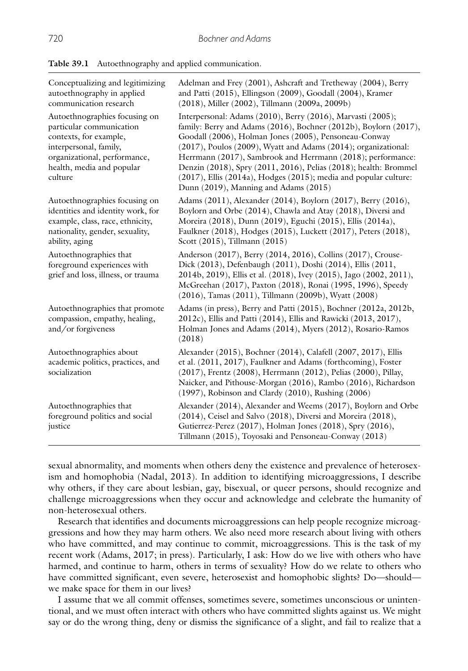| Conceptualizing and legitimizing<br>autoethnography in applied<br>communication research                                                                                              | Adelman and Frey (2001), Ashcraft and Tretheway (2004), Berry<br>and Patti (2015), Ellingson (2009), Goodall (2004), Kramer<br>(2018), Miller (2002), Tillmann (2009a, 2009b)                                                                                                                                                                                                                                                                                                                              |
|---------------------------------------------------------------------------------------------------------------------------------------------------------------------------------------|------------------------------------------------------------------------------------------------------------------------------------------------------------------------------------------------------------------------------------------------------------------------------------------------------------------------------------------------------------------------------------------------------------------------------------------------------------------------------------------------------------|
| Autoethnographies focusing on<br>particular communication<br>contexts, for example,<br>interpersonal, family,<br>organizational, performance,<br>health, media and popular<br>culture | Interpersonal: Adams (2010), Berry (2016), Marvasti (2005);<br>family: Berry and Adams (2016), Bochner (2012b), Boylorn (2017),<br>Goodall (2006), Holman Jones (2005), Pensoneau-Conway<br>(2017), Poulos (2009), Wyatt and Adams (2014); organizational:<br>Herrmann (2017), Sambrook and Herrmann (2018); performance:<br>Denzin (2018), Spry (2011, 2016), Pelias (2018); health: Brommel<br>(2017), Ellis (2014a), Hodges (2015); media and popular culture:<br>Dunn (2019), Manning and Adams (2015) |
| Autoethnographies focusing on<br>identities and identity work, for<br>example, class, race, ethnicity,<br>nationality, gender, sexuality,<br>ability, aging                           | Adams (2011), Alexander (2014), Boylorn (2017), Berry (2016),<br>Boylorn and Orbe (2014), Chawla and Atay (2018), Diversi and<br>Moreira (2018), Dunn (2019), Eguchi (2015), Ellis (2014a),<br>Faulkner (2018), Hodges (2015), Luckett (2017), Peters (2018),<br>Scott (2015), Tillmann (2015)                                                                                                                                                                                                             |
| Autoethnographies that<br>foreground experiences with<br>grief and loss, illness, or trauma                                                                                           | Anderson (2017), Berry (2014, 2016), Collins (2017), Crouse-<br>Dick (2013), Defenbaugh (2011), Doshi (2014), Ellis (2011,<br>2014b, 2019), Ellis et al. (2018), Ivey (2015), Jago (2002, 2011),<br>McGreehan (2017), Paxton (2018), Ronai (1995, 1996), Speedy<br>(2016), Tamas (2011), Tillmann (2009b), Wyatt (2008)                                                                                                                                                                                    |
| Autoethnographies that promote<br>compassion, empathy, healing,<br>and/or forgiveness                                                                                                 | Adams (in press), Berry and Patti (2015), Bochner (2012a, 2012b,<br>2012c), Ellis and Patti (2014), Ellis and Rawicki (2013, 2017),<br>Holman Jones and Adams (2014), Myers (2012), Rosario-Ramos<br>(2018)                                                                                                                                                                                                                                                                                                |
| Autoethnographies about<br>academic politics, practices, and<br>socialization                                                                                                         | Alexander (2015), Bochner (2014), Calafell (2007, 2017), Ellis<br>et al. (2011, 2017), Faulkner and Adams (forthcoming), Foster<br>(2017), Frentz (2008), Herrmann (2012), Pelias (2000), Pillay,<br>Naicker, and Pithouse-Morgan (2016), Rambo (2016), Richardson<br>(1997), Robinson and Clardy (2010), Rushing (2006)                                                                                                                                                                                   |
| Autoethnographies that<br>foreground politics and social<br>justice                                                                                                                   | Alexander (2014), Alexander and Weems (2017), Boylorn and Orbe<br>(2014), Ceisel and Salvo (2018), Diversi and Moreira (2018),<br>Gutierrez-Perez (2017), Holman Jones (2018), Spry (2016),<br>Tillmann (2015), Toyosaki and Pensoneau-Conway (2013)                                                                                                                                                                                                                                                       |

**Table 39.1** Autoethnography and applied communication.

sexual abnormality, and moments when others deny the existence and prevalence of heterosexism and homophobia (Nadal, 2013). In addition to identifying microaggressions, I describe why others, if they care about lesbian, gay, bisexual, or queer persons, should recognize and challenge microaggressions when they occur and acknowledge and celebrate the humanity of non‐heterosexual others.

Research that identifies and documents microaggressions can help people recognize microaggressions and how they may harm others. We also need more research about living with others who have committed, and may continue to commit, microaggressions. This is the task of my recent work (Adams, 2017; in press). Particularly, I ask: How do we live with others who have harmed, and continue to harm, others in terms of sexuality? How do we relate to others who have committed significant, even severe, heterosexist and homophobic slights? Do—should we make space for them in our lives?

I assume that we all commit offenses, sometimes severe, sometimes unconscious or unintentional, and we must often interact with others who have committed slights against us. We might say or do the wrong thing, deny or dismiss the significance of a slight, and fail to realize that a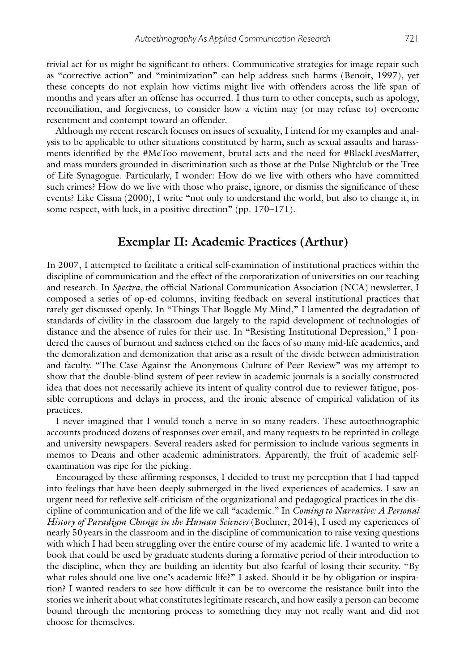trivial act for us might be significant to others. Communicative strategies for image repair such as "corrective action" and "minimization" can help address such harms (Benoit, 1997), yet these concepts do not explain how victims might live with offenders across the life span of months and years after an offense has occurred. I thus turn to other concepts, such as apology, reconciliation, and forgiveness, to consider how a victim may (or may refuse to) overcome resentment and contempt toward an offender.

Although my recent research focuses on issues of sexuality, I intend for my examples and analysis to be applicable to other situations constituted by harm, such as sexual assaults and harassments identified by the #MeToo movement, brutal acts and the need for #BlackLivesMatter, and mass murders grounded in discrimination such as those at the Pulse Nightclub or the Tree of Life Synagogue. Particularly, I wonder: How do we live with others who have committed such crimes? How do we live with those who praise, ignore, or dismiss the significance of these events? Like Cissna (2000), I write "not only to understand the world, but also to change it, in some respect, with luck, in a positive direction" (pp. 170–171).

#### **Exemplar II: Academic Practices (Arthur)**

In 2007, I attempted to facilitate a critical self‐examination of institutional practices within the discipline of communication and the effect of the corporatization of universities on our teaching and research. In *Spectra*, the official National Communication Association (NCA) newsletter, I composed a series of op‐ed columns, inviting feedback on several institutional practices that rarely get discussed openly. In "Things That Boggle My Mind," I lamented the degradation of standards of civility in the classroom due largely to the rapid development of technologies of distance and the absence of rules for their use. In "Resisting Institutional Depression," I pondered the causes of burnout and sadness etched on the faces of so many mid‐life academics, and the demoralization and demonization that arise as a result of the divide between administration and faculty. "The Case Against the Anonymous Culture of Peer Review" was my attempt to show that the double‐blind system of peer review in academic journals is a socially constructed idea that does not necessarily achieve its intent of quality control due to reviewer fatigue, possible corruptions and delays in process, and the ironic absence of empirical validation of its practices.

I never imagined that I would touch a nerve in so many readers. These autoethnographic accounts produced dozens of responses over email, and many requests to be reprinted in college and university newspapers. Several readers asked for permission to include various segments in memos to Deans and other academic administrators. Apparently, the fruit of academic selfexamination was ripe for the picking.

Encouraged by these affirming responses, I decided to trust my perception that I had tapped into feelings that have been deeply submerged in the lived experiences of academics. I saw an urgent need for reflexive self‐criticism of the organizational and pedagogical practices in the discipline of communication and of the life we call "academic." In *Coming to Narrative: A Personal History of Paradigm Change in the Human Sciences* (Bochner, 2014), I used my experiences of nearly 50years in the classroom and in the discipline of communication to raise vexing questions with which I had been struggling over the entire course of my academic life. I wanted to write a book that could be used by graduate students during a formative period of their introduction to the discipline, when they are building an identity but also fearful of losing their security. "By what rules should one live one's academic life?" I asked. Should it be by obligation or inspiration? I wanted readers to see how difficult it can be to overcome the resistance built into the stories we inherit about what constitutes legitimate research, and how easily a person can become bound through the mentoring process to something they may not really want and did not choose for themselves.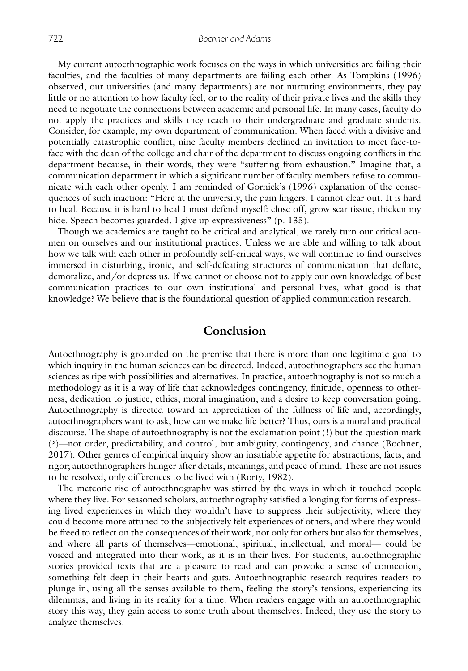My current autoethnographic work focuses on the ways in which universities are failing their faculties, and the faculties of many departments are failing each other. As Tompkins (1996) observed, our universities (and many departments) are not nurturing environments; they pay little or no attention to how faculty feel, or to the reality of their private lives and the skills they need to negotiate the connections between academic and personal life. In many cases, faculty do not apply the practices and skills they teach to their undergraduate and graduate students. Consider, for example, my own department of communication. When faced with a divisive and potentially catastrophic conflict, nine faculty members declined an invitation to meet face-toface with the dean of the college and chair of the department to discuss ongoing conflicts in the department because, in their words, they were "suffering from exhaustion." Imagine that, a communication department in which a significant number of faculty members refuse to communicate with each other openly. I am reminded of Gornick's (1996) explanation of the consequences of such inaction: "Here at the university, the pain lingers. I cannot clear out. It is hard to heal. Because it is hard to heal I must defend myself: close off, grow scar tissue, thicken my hide. Speech becomes guarded. I give up expressiveness" (p. 135).

Though we academics are taught to be critical and analytical, we rarely turn our critical acumen on ourselves and our institutional practices. Unless we are able and willing to talk about how we talk with each other in profoundly self‐critical ways, we will continue to find ourselves immersed in disturbing, ironic, and self‐defeating structures of communication that deflate, demoralize, and/or depress us. If we cannot or choose not to apply our own knowledge of best communication practices to our own institutional and personal lives, what good is that knowledge? We believe that is the foundational question of applied communication research.

#### **Conclusion**

Autoethnography is grounded on the premise that there is more than one legitimate goal to which inquiry in the human sciences can be directed. Indeed, autoethnographers see the human sciences as ripe with possibilities and alternatives. In practice, autoethnography is not so much a methodology as it is a way of life that acknowledges contingency, finitude, openness to otherness, dedication to justice, ethics, moral imagination, and a desire to keep conversation going. Autoethnography is directed toward an appreciation of the fullness of life and, accordingly, autoethnographers want to ask, how can we make life better? Thus, ours is a moral and practical discourse. The shape of autoethnography is not the exclamation point (!) but the question mark (?)—not order, predictability, and control, but ambiguity, contingency, and chance (Bochner, 2017). Other genres of empirical inquiry show an insatiable appetite for abstractions, facts, and rigor; autoethnographers hunger after details, meanings, and peace of mind. These are not issues to be resolved, only differences to be lived with (Rorty, 1982).

The meteoric rise of autoethnography was stirred by the ways in which it touched people where they live. For seasoned scholars, autoethnography satisfied a longing for forms of expressing lived experiences in which they wouldn't have to suppress their subjectivity, where they could become more attuned to the subjectively felt experiences of others, and where they would be freed to reflect on the consequences of their work, not only for others but also for themselves, and where all parts of themselves—emotional, spiritual, intellectual, and moral— could be voiced and integrated into their work, as it is in their lives. For students, autoethnographic stories provided texts that are a pleasure to read and can provoke a sense of connection, something felt deep in their hearts and guts. Autoethnographic research requires readers to plunge in, using all the senses available to them, feeling the story's tensions, experiencing its dilemmas, and living in its reality for a time. When readers engage with an autoethnographic story this way, they gain access to some truth about themselves. Indeed, they use the story to analyze themselves.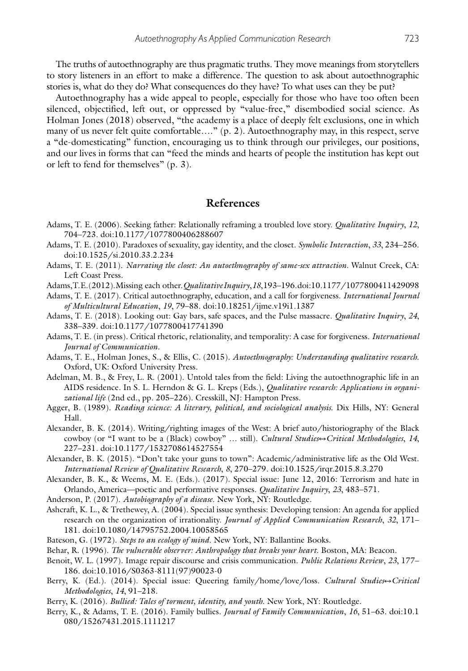The truths of autoethnography are thus pragmatic truths. They move meanings from storytellers to story listeners in an effort to make a difference. The question to ask about autoethnographic stories is, what do they do? What consequences do they have? To what uses can they be put?

Autoethnography has a wide appeal to people, especially for those who have too often been silenced, objectified, left out, or oppressed by "value-free," disembodied social science. As Holman Jones (2018) observed, "the academy is a place of deeply felt exclusions, one in which many of us never felt quite comfortable…." (p. 2). Autoethnography may, in this respect, serve a "de-domesticating" function, encouraging us to think through our privileges, our positions, and our lives in forms that can "feed the minds and hearts of people the institution has kept out or left to fend for themselves" (p. 3).

#### **References**

- Adams, T. E. (2006). Seeking father: Relationally reframing a troubled love story. *Qualitative Inquiry*, *12*, 704–723. doi:10.1177/1077800406288607
- Adams, T. E. (2010). Paradoxes of sexuality, gay identity, and the closet. *Symbolic Interaction*, *33*, 234–256. doi:10.1525/si.2010.33.2.234
- Adams, T. E. (2011). *Narrating the closet: An autoethnography of same‐sex attraction*. Walnut Creek, CA: Left Coast Press.
- Adams, T. E. (2012). Missing each other. *Qualitative Inquiry*, *18*, 193–196. doi:10.1177/1077800411429098
- Adams, T. E. (2017). Critical autoethnography, education, and a call for forgiveness. *International Journal of Multicultural Education*, *19*, 79–88. doi:10.18251/ijme.v19i1.1387
- Adams, T. E. (2018). Looking out: Gay bars, safe spaces, and the Pulse massacre. *Qualitative Inquiry*, *24*, 338–339. doi:10.1177/1077800417741390
- Adams, T. E. (in press). Critical rhetoric, relationality, and temporality: A case for forgiveness. *International Journal of Communication*.
- Adams, T. E., Holman Jones, S., & Ellis, C. (2015). *Autoethnography: Understanding qualitative research*. Oxford, UK: Oxford University Press.
- Adelman, M. B., & Frey, L. R. (2001). Untold tales from the field: Living the autoethnographic life in an AIDS residence. In S. L. Herndon & G. L. Kreps (Eds.), *Qualitative research: Applications in organizational life* (2nd ed., pp. 205–226). Cresskill, NJ: Hampton Press.
- Agger, B. (1989). *Reading science: A literary, political, and sociological analysis*. Dix Hills, NY: General Hall.
- Alexander, B. K. (2014). Writing/righting images of the West: A brief auto/historiography of the Black cowboy (or "I want to be a (Black) cowboy" … still). *Cultural Studies*↔*Critical Methodologies*, *14*, 227–231. doi:10.1177/1532708614527554
- Alexander, B. K. (2015). "Don't take your guns to town": Academic/administrative life as the Old West. *International Review of Qualitative Research*, *8*, 270–279. doi:10.1525/irqr.2015.8.3.270
- Alexander, B. K., & Weems, M. E. (Eds.). (2017). Special issue: June 12, 2016: Terrorism and hate in Orlando, America—poetic and performative responses. *Qualitative Inquiry*, *23*, 483–571.
- Anderson, P. (2017). *Autobiography of a disease*. New York, NY: Routledge.
- Ashcraft, K. L., & Trethewey, A. (2004). Special issue synthesis: Developing tension: An agenda for applied research on the organization of irrationality. *Journal of Applied Communication Research*, *32*, 171– 181. doi:10.1080/14795752.2004.10058565
- Bateson, G. (1972). *Steps to an ecology of mind*. New York, NY: Ballantine Books.
- Behar, R. (1996). *The vulnerable observer: Anthropology that breaks your heart*. Boston, MA: Beacon.
- Benoit, W. L. (1997). Image repair discourse and crisis communication. *Public Relations Review*, *23*, 177– 186. doi:10.1016/S0363‐8111(97)90023‐0
- Berry, K. (Ed.). (2014). Special issue: Queering family/home/love/loss. *Cultural Studies*↔*Critical Methodologies*, *14*, 91–218.
- Berry, K. (2016). *Bullied: Tales of torment, identity, and youth*. New York, NY: Routledge.
- Berry, K., & Adams, T. E. (2016). Family bullies. *Journal of Family Communication*, *16*, 51–63. doi:10.1 080/15267431.2015.1111217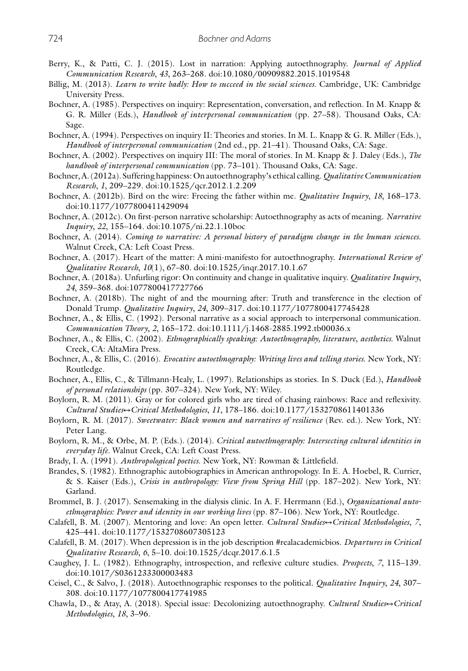- Berry, K., & Patti, C. J. (2015). Lost in narration: Applying autoethnography. *Journal of Applied Communication Research*, *43*, 263–268. doi:10.1080/00909882.2015.1019548
- Billig, M. (2013). *Learn to write badly: How to succeed in the social sciences*. Cambridge, UK: Cambridge University Press.
- Bochner, A. (1985). Perspectives on inquiry: Representation, conversation, and reflection. In M. Knapp & G. R. Miller (Eds.), *Handbook of interpersonal communication* (pp. 27–58). Thousand Oaks, CA: Sage.
- Bochner, A. (1994). Perspectives on inquiry II: Theories and stories. In M. L. Knapp & G. R. Miller (Eds.), *Handbook of interpersonal communication* (2nd ed., pp. 21–41). Thousand Oaks, CA: Sage.
- Bochner, A. (2002). Perspectives on inquiry III: The moral of stories. In M. Knapp & J. Daley (Eds.), *The handbook of interpersonal communication* (pp. 73–101). Thousand Oaks, CA: Sage.
- Bochner, A. (2012a). Suffering happiness: On autoethnography's ethical calling. *Qualitative Communication Research*, *1*, 209–229. doi:10.1525/qcr.2012.1.2.209
- Bochner, A. (2012b). Bird on the wire: Freeing the father within me. *Qualitative Inquiry*, *18*, 168–173. doi:10.1177/1077800411429094
- Bochner, A. (2012c). On first‐person narrative scholarship: Autoethnography as acts of meaning. *Narrative Inquiry*, *22*, 155–164. doi:10.1075/ni.22.1.10boc
- Bochner, A. (2014). *Coming to narrative: A personal history of paradigm change in the human sciences*. Walnut Creek, CA: Left Coast Press.
- Bochner, A. (2017). Heart of the matter: A mini‐manifesto for autoethnography. *International Review of Qualitative Research*, *10*(1), 67–80. doi:10.1525/inqr.2017.10.1.67
- Bochner, A. (2018a). Unfurling rigor: On continuity and change in qualitative inquiry. *Qualitative Inquiry*, *24*, 359–368. doi:1077800417727766
- Bochner, A. (2018b). The night of and the mourning after: Truth and transference in the election of Donald Trump. *Qualitative Inquiry*, *24*, 309–317. doi:10.1177/1077800417745428
- Bochner, A., & Ellis, C. (1992). Personal narrative as a social approach to interpersonal communication. *Communication Theory*, *2*, 165–172. doi:10.1111/j.1468‐2885.1992.tb00036.x
- Bochner, A., & Ellis, C. (2002). *Ethnographically speaking: Autoethnography, literature, aesthetics*. Walnut Creek, CA: AltaMira Press.
- Bochner, A., & Ellis, C. (2016). *Evocative autoethnography: Writing lives and telling stories*. New York, NY: Routledge.
- Bochner, A., Ellis, C., & Tillmann‐Healy, L. (1997). Relationships as stories. In S. Duck (Ed.), *Handbook of personal relationships* (pp. 307–324). New York, NY: Wiley.
- Boylorn, R. M. (2011). Gray or for colored girls who are tired of chasing rainbows: Race and reflexivity. *Cultural Studies*↔*Critical Methodologies*, *11*, 178–186. doi:10.1177/1532708611401336
- Boylorn, R. M. (2017). *Sweetwater: Black women and narratives of resilience* (Rev. ed.). New York, NY: Peter Lang.
- Boylorn, R. M., & Orbe, M. P. (Eds.). (2014). *Critical autoethnography: Intersecting cultural identities in everyday life*. Walnut Creek, CA: Left Coast Press.
- Brady, I. A. (1991). *Anthropological poetics*. New York, NY: Rowman & Littlefield.
- Brandes, S. (1982). Ethnographic autobiographies in American anthropology. In E. A. Hoebel, R. Currier, & S. Kaiser (Eds.), *Crisis in anthropology: View from Spring Hill* (pp. 187–202). New York, NY: Garland.
- Brommel, B. J. (2017). Sensemaking in the dialysis clinic. In A. F. Herrmann (Ed.), *Organizational autoethnographies: Power and identity in our working lives* (pp. 87–106). New York, NY: Routledge.
- Calafell, B. M. (2007). Mentoring and love: An open letter. *Cultural Studies*↔*Critical Methodologies*, *7*, 425–441. doi:10.1177/1532708607305123
- Calafell, B. M. (2017). When depression is in the job description #realacademicbios. *Departures in Critical Qualitative Research*, *6*, 5–10. doi:10.1525/dcqr.2017.6.1.5
- Caughey, J. L. (1982). Ethnography, introspection, and reflexive culture studies. *Prospects*, *7*, 115–139. doi:10.1017/S0361233300003483
- Ceisel, C., & Salvo, J. (2018). Autoethnographic responses to the political. *Qualitative Inquiry*, *24*, 307– 308. doi:10.1177/1077800417741985
- Chawla, D., & Atay, A. (2018). Special issue: Decolonizing autoethnography. *Cultural Studies*↔*Critical Methodologies*, *18*, 3–96.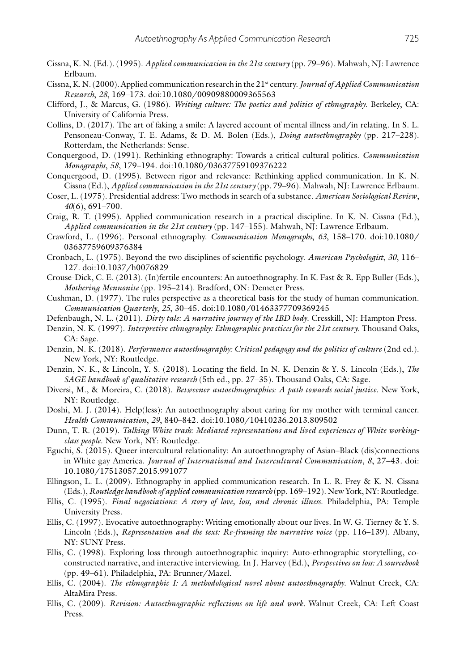- Cissna, K. N. (Ed.). (1995). *Applied communication in the 21st century* (pp. 79–96). Mahwah, NJ: Lawrence Erlbaum.
- Cissna, K. N. (2000). Applied communication research in the 21<sup>st</sup> century. *Journal of Applied Communication Research*, *28*, 169–173. doi:10.1080/00909880009365563
- Clifford, J., & Marcus, G. (1986). *Writing culture: The poetics and politics of ethnography*. Berkeley, CA: University of California Press.
- Collins, D. (2017). The art of faking a smile: A layered account of mental illness and/in relating. In S. L. Pensoneau‐Conway, T. E. Adams, & D. M. Bolen (Eds.), *Doing autoethnography* (pp. 217–228). Rotterdam, the Netherlands: Sense.
- Conquergood, D. (1991). Rethinking ethnography: Towards a critical cultural politics. *Communication Monographs*, *58*, 179–194. doi:10.1080/03637759109376222
- Conquergood, D. (1995). Between rigor and relevance: Rethinking applied communication. In K. N. Cissna (Ed.), *Applied communication in the 21st century* (pp. 79–96). Mahwah, NJ: Lawrence Erlbaum.
- Coser, L. (1975). Presidential address: Two methods in search of a substance. *American Sociological Review*, *40*(6), 691–700.
- Craig, R. T. (1995). Applied communication research in a practical discipline. In K. N. Cissna (Ed.), *Applied communication in the 21st century* (pp. 147–155). Mahwah, NJ: Lawrence Erlbaum.
- Crawford, L. (1996). Personal ethnography. *Communication Monographs*, *63*, 158–170. doi:10.1080/ 03637759609376384
- Cronbach, L. (1975). Beyond the two disciplines of scientific psychology. *American Psychologist*, *30*, 116– 127. doi:10.1037/h0076829
- Crouse‐Dick, C. E. (2013). (In)fertile encounters: An autoethnography. In K. Fast & R. Epp Buller (Eds.), *Mothering Mennonite* (pp. 195–214). Bradford, ON: Demeter Press.
- Cushman, D. (1977). The rules perspective as a theoretical basis for the study of human communication. *Communication Quarterly*, *25*, 30–45. doi:10.1080/01463377709369245
- Defenbaugh, N. L. (2011). *Dirty tale: A narrative journey of the IBD body*. Cresskill, NJ: Hampton Press.
- Denzin, N. K. (1997). *Interpretive ethnography: Ethnographic practices for the 21st century*. Thousand Oaks, CA: Sage.
- Denzin, N. K. (2018). *Performance autoethnography: Critical pedagogy and the politics of culture* (2nd ed.). New York, NY: Routledge.
- Denzin, N. K., & Lincoln, Y. S. (2018). Locating the field. In N. K. Denzin & Y. S. Lincoln (Eds.), *The SAGE handbook of qualitative research* (5th ed., pp. 27–35). Thousand Oaks, CA: Sage.
- Diversi, M., & Moreira, C. (2018). *Betweener autoethnographies: A path towards social justice*. New York, NY: Routledge.
- Doshi, M. J. (2014). Help(less): An autoethnography about caring for my mother with terminal cancer. *Health Communication*, *29*, 840–842. doi:10.1080/10410236.2013.809502
- Dunn, T. R. (2019). *Talking White trash: Mediated representations and lived experiences of White working‐ class people*. New York, NY: Routledge.
- Eguchi, S. (2015). Queer intercultural relationality: An autoethnography of Asian–Black (dis)connections in White gay America. *Journal of International and Intercultural Communication*, *8*, 27–43. doi: 10.1080/17513057.2015.991077
- Ellingson, L. L. (2009). Ethnography in applied communication research. In L. R. Frey & K. N. Cissna (Eds.), *Routledge handbook of applied communication research* (pp. 169–192). New York, NY: Routledge.
- Ellis, C. (1995). *Final negotiations: A story of love, loss, and chronic illness*. Philadelphia, PA: Temple University Press.
- Ellis, C. (1997). Evocative autoethnography: Writing emotionally about our lives. In W. G. Tierney & Y. S. Lincoln (Eds.), *Representation and the text: Re-framing the narrative voice* (pp. 116–139). Albany, NY: SUNY Press.
- Ellis, C. (1998). Exploring loss through autoethnographic inquiry: Auto-ethnographic storytelling, coconstructed narrative, and interactive interviewing. In J. Harvey (Ed.), *Perspectives on loss: A sourcebook* (pp. 49–61). Philadelphia, PA: Brunner/Mazel.
- Ellis, C. (2004). *The ethnographic I: A methodological novel about autoethnography*. Walnut Creek, CA: AltaMira Press.
- Ellis, C. (2009). *Revision: Autoethnographic reflections on life and work*. Walnut Creek, CA: Left Coast Press.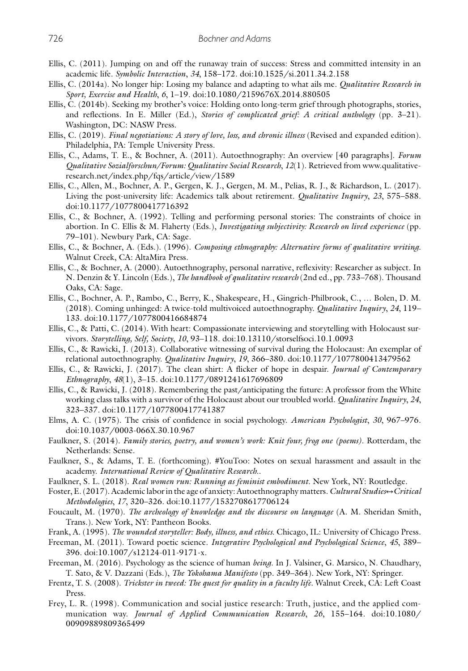- Ellis, C. (2011). Jumping on and off the runaway train of success: Stress and committed intensity in an academic life. *Symbolic Interaction*, *34*, 158–172. doi:10.1525/si.2011.34.2.158
- Ellis, C. (2014a). No longer hip: Losing my balance and adapting to what ails me. *Qualitative Research in Sport, Exercise and Health*, *6*, 1–19. doi:10.1080/2159676X.2014.880505
- Ellis, C. (2014b). Seeking my brother's voice: Holding onto long‐term grief through photographs, stories, and reflections. In E. Miller (Ed.), *Stories of complicated grief: A critical anthology* (pp. 3–21). Washington, DC: NASW Press.
- Ellis, C. (2019). *Final negotiations: A story of love, loss, and chronic illness* (Revised and expanded edition). Philadelphia, PA: Temple University Press.
- Ellis, C., Adams, T. E., & Bochner, A. (2011). Autoethnography: An overview [40 paragraphs]. *Forum Qualitative Sozialforschun/Forum: Qualitative Social Research*, *12*(1). Retrieved from www.qualitative‐ research.net/index.php/fqs/article/view/1589
- Ellis, C., Allen, M., Bochner, A. P., Gergen, K. J., Gergen, M. M., Pelias, R. J., & Richardson, L. (2017). Living the post‐university life: Academics talk about retirement. *Qualitative Inquiry*, *23*, 575–588. doi:10.1177/1077800417716392
- Ellis, C., & Bochner, A. (1992). Telling and performing personal stories: The constraints of choice in abortion. In C. Ellis & M. Flaherty (Eds.), *Investigating subjectivity: Research on lived experience* (pp. 79–101). Newbury Park, CA: Sage.
- Ellis, C., & Bochner, A. (Eds.). (1996). *Composing ethnography: Alternative forms of qualitative writing*. Walnut Creek, CA: AltaMira Press.
- Ellis, C., & Bochner, A. (2000). Autoethnography, personal narrative, reflexivity: Researcher as subject. In N. Denzin & Y. Lincoln (Eds.), *The handbook of qualitative research* (2nd ed., pp. 733–768). Thousand Oaks, CA: Sage.
- Ellis, C., Bochner, A. P., Rambo, C., Berry, K., Shakespeare, H., Gingrich‐Philbrook, C., … Bolen, D. M. (2018). Coming unhinged: A twice‐told multivoiced autoethnography. *Qualitative Inquiry*, *24*, 119– 133. doi:10.1177/1077800416684874
- Ellis, C., & Patti, C. (2014). With heart: Compassionate interviewing and storytelling with Holocaust survivors. *Storytelling, Self, Society*, *10*, 93–118. doi:10.13110/storselfsoci.10.1.0093
- Ellis, C., & Rawicki, J. (2013). Collaborative witnessing of survival during the Holocaust: An exemplar of relational autoethnography. *Qualitative Inquiry*, *19*, 366–380. doi:10.1177/1077800413479562
- Ellis, C., & Rawicki, J. (2017). The clean shirt: A flicker of hope in despair. *Journal of Contemporary Ethnography*, *48*(1), 3–15. doi:10.1177/0891241617696809
- Ellis, C., & Rawicki, J. (2018). Remembering the past/anticipating the future: A professor from the White working class talks with a survivor of the Holocaust about our troubled world. *Qualitative Inquiry*, *24*, 323–337. doi:10.1177/1077800417741387
- Elms, A. C. (1975). The crisis of confidence in social psychology. *American Psychologist*, *30*, 967–976. doi:10.1037/0003‐066X.30.10.967
- Faulkner, S. (2014). *Family stories, poetry, and women's work: Knit four, frog one (poems)*. Rotterdam, the Netherlands: Sense.
- Faulkner, S., & Adams, T. E. (forthcoming). #YouToo: Notes on sexual harassment and assault in the academy. *International Review of Qualitative Research.*.
- Faulkner, S. L. (2018). *Real women run: Running as feminist embodiment*. New York, NY: Routledge.
- Foster, E. (2017). Academic labor in the age of anxiety: Autoethnography matters. *Cultural Studies*↔*Critical Methodologies*, *17*, 320–326. doi:10.1177/1532708617706124
- Foucault, M. (1970). *The archeology of knowledge and the discourse on language* (A. M. Sheridan Smith, Trans.). New York, NY: Pantheon Books.
- Frank, A. (1995). *The wounded storyteller: Body, illness, and ethics*. Chicago, IL: University of Chicago Press.
- Freeman, M. (2011). Toward poetic science. *Integrative Psychological and Psychological Science*, *45*, 389– 396. doi:10.1007/s12124-011-9171-x.
- Freeman, M. (2016). Psychology as the science of human *being*. In J. Valsiner, G. Marsico, N. Chaudhary, T. Sato, & V. Dazzani (Eds.), *The Yokohama Manifesto* (pp. 349–364). New York, NY: Springer.
- Frentz, T. S. (2008). *Trickster in tweed: The quest for quality in a faculty life*. Walnut Creek, CA: Left Coast Press.
- Frey, L. R. (1998). Communication and social justice research: Truth, justice, and the applied communication way. *Journal of Applied Communication Research*, *26*, 155–164. doi:10.1080/ 00909889809365499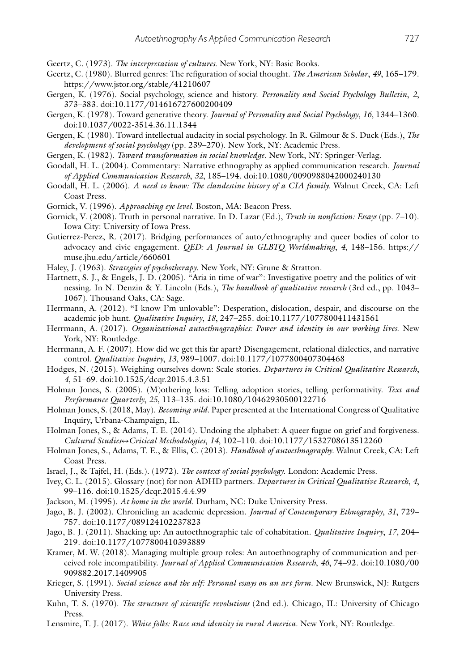Geertz, C. (1973). *The interpretation of cultures*. New York, NY: Basic Books.

- Geertz, C. (1980). Blurred genres: The refiguration of social thought. *The American Scholar*, *49*, 165–179. https://www.jstor.org/stable/41210607
- Gergen, K. (1976). Social psychology, science and history. *Personality and Social Psychology Bulletin*, *2*, 373–383. doi:10.1177/014616727600200409
- Gergen, K. (1978). Toward generative theory. *Journal of Personality and Social Psychology*, *16*, 1344–1360. doi:10.1037/0022‐3514.36.11.1344
- Gergen, K. (1980). Toward intellectual audacity in social psychology. In R. Gilmour & S. Duck (Eds.), *The development of social psychology* (pp. 239–270). New York, NY: Academic Press.
- Gergen, K. (1982). *Toward transformation in social knowledge*. New York, NY: Springer‐Verlag.
- Goodall, H. L. (2004). Commentary: Narrative ethnography as applied communication research. *Journal of Applied Communication Research*, *32*, 185–194. doi:10.1080/0090988042000240130
- Goodall, H. L. (2006). *A need to know: The clandestine history of a CIA family*. Walnut Creek, CA: Left Coast Press.
- Gornick, V. (1996). *Approaching eye level*. Boston, MA: Beacon Press.
- Gornick, V. (2008). Truth in personal narrative. In D. Lazar (Ed.), *Truth in nonfiction: Essays* (pp. 7–10). Iowa City: University of Iowa Press.
- Gutierrez‐Perez, R. (2017). Bridging performances of auto/ethnography and queer bodies of color to advocacy and civic engagement. *QED: A Journal in GLBTQ Worldmaking*, *4*, 148–156. https:// muse.jhu.edu/article/660601
- Haley, J. (1963). *Strategies of psychotherapy*. New York, NY: Grune & Stratton.
- Hartnett, S. J., & Engels, J. D. (2005). "Aria in time of war": Investigative poetry and the politics of witnessing. In N. Denzin & Y. Lincoln (Eds.), *The handbook of qualitative research* (3rd ed., pp. 1043– 1067). Thousand Oaks, CA: Sage.
- Herrmann, A. (2012). "I know I'm unlovable": Desperation, dislocation, despair, and discourse on the academic job hunt. *Qualitative Inquiry*, *18*, 247–255. doi:10.1177/1077800411431561
- Herrmann, A. (2017). *Organizational autoethnographies: Power and identity in our working lives*. New York, NY: Routledge.
- Herrmann, A. F. (2007). How did we get this far apart? Disengagement, relational dialectics, and narrative control. *Qualitative Inquiry*, *13*, 989–1007. doi:10.1177/1077800407304468
- Hodges, N. (2015). Weighing ourselves down: Scale stories. *Departures in Critical Qualitative Research*, *4*, 51–69. doi:10.1525/dcqr.2015.4.3.51
- Holman Jones, S. (2005). (M)othering loss: Telling adoption stories, telling performativity. *Text and Performance Quarterly*, *25*, 113–135. doi:10.1080/10462930500122716
- Holman Jones, S. (2018, May). *Becoming wild*. Paper presented at the International Congress of Qualitative Inquiry, Urbana‐Champaign, IL.
- Holman Jones, S., & Adams, T. E. (2014). Undoing the alphabet: A queer fugue on grief and forgiveness. *Cultural Studies*↔*Critical Methodologies*, *14*, 102–110. doi:10.1177/1532708613512260
- Holman Jones, S., Adams, T. E., & Ellis, C. (2013). *Handbook of autoethnography*. Walnut Creek, CA: Left Coast Press.
- Israel, J., & Tajfel, H. (Eds.). (1972). *The context of social psychology*. London: Academic Press.
- Ivey, C. L. (2015). Glossary (not) for non‐ADHD partners. *Departures in Critical Qualitative Research*, *4*, 99–116. doi:10.1525/dcqr.2015.4.4.99
- Jackson, M. (1995). *At home in the world*. Durham, NC: Duke University Press.
- Jago, B. J. (2002). Chronicling an academic depression. *Journal of Contemporary Ethnography*, *31*, 729– 757. doi:10.1177/089124102237823
- Jago, B. J. (2011). Shacking up: An autoethnographic tale of cohabitation. *Qualitative Inquiry*, *17*, 204– 219. doi:10.1177/1077800410393889
- Kramer, M. W. (2018). Managing multiple group roles: An autoethnography of communication and perceived role incompatibility. *Journal of Applied Communication Research*, *46*, 74–92. doi:10.1080/00 909882.2017.1409905
- Krieger, S. (1991). *Social science and the self: Personal essays on an art form*. New Brunswick, NJ: Rutgers University Press.
- Kuhn, T. S. (1970). *The structure of scientific revolutions* (2nd ed.). Chicago, IL: University of Chicago Press.
- Lensmire, T. J. (2017). *White folks: Race and identity in rural America*. New York, NY: Routledge.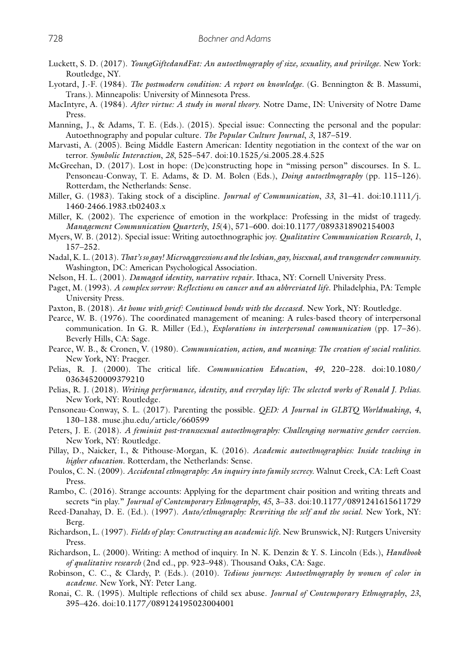- Luckett, S. D. (2017). *YoungGiftedandFat: An autoethnography of size, sexuality, and privilege*. New York: Routledge, NY.
- Lyotard, J.‐F. (1984). *The postmodern condition: A report on knowledge*. (G. Bennington & B. Massumi, Trans.). Minneapolis: University of Minnesota Press.
- MacIntyre, A. (1984). *After virtue: A study in moral theory*. Notre Dame, IN: University of Notre Dame Press.
- Manning, J., & Adams, T. E. (Eds.). (2015). Special issue: Connecting the personal and the popular: Autoethnography and popular culture. *The Popular Culture Journal*, *3*, 187–519.
- Marvasti, A. (2005). Being Middle Eastern American: Identity negotiation in the context of the war on terror. *Symbolic Interaction*, *28*, 525–547. doi:10.1525/si.2005.28.4.525
- McGreehan, D. (2017). Lost in hope: (De)constructing hope in "missing person" discourses. In S. L. Pensoneau‐Conway, T. E. Adams, & D. M. Bolen (Eds.), *Doing autoethnography* (pp. 115–126). Rotterdam, the Netherlands: Sense.
- Miller, G. (1983). Taking stock of a discipline. *Journal of Communication*, *33*, 31–41. doi:10.1111/j. 1460‐2466.1983.tb02403.x
- Miller, K. (2002). The experience of emotion in the workplace: Professing in the midst of tragedy. *Management Communication Quarterly*, *15*(4), 571–600. doi:10.1177/0893318902154003
- Myers, W. B. (2012). Special issue: Writing autoethnographic joy. *Qualitative Communication Research*, *1*, 157–252.
- Nadal, K. L. (2013). *That's so gay! Microaggressions and the lesbian, gay, bisexual, and transgender community*. Washington, DC: American Psychological Association.
- Nelson, H. L. (2001). *Damaged identity, narrative repair*. Ithaca, NY: Cornell University Press.
- Paget, M. (1993). *A complex sorrow: Reflections on cancer and an abbreviated life*. Philadelphia, PA: Temple University Press.
- Paxton, B. (2018). *At home with grief: Continued bonds with the deceased*. New York, NY: Routledge.
- Pearce, W. B. (1976). The coordinated management of meaning: A rules‐based theory of interpersonal communication. In G. R. Miller (Ed.), *Explorations in interpersonal communication* (pp. 17–36). Beverly Hills, CA: Sage.
- Pearce, W. B., & Cronen, V. (1980). *Communication, action, and meaning: The creation of social realities*. New York, NY: Praeger.
- Pelias, R. J. (2000). The critical life. *Communication Education*, *49*, 220–228. doi:10.1080/ 03634520009379210
- Pelias, R. J. (2018). *Writing performance, identity, and everyday life: The selected works of Ronald J. Pelias*. New York, NY: Routledge.
- Pensoneau‐Conway, S. L. (2017). Parenting the possible. *QED: A Journal in GLBTQ Worldmaking*, *4*, 130–138. muse.jhu.edu/article/660599
- Peters, J. E. (2018). *A feminist post‐transsexual autoethnography: Challenging normative gender coercion*. New York, NY: Routledge.
- Pillay, D., Naicker, I., & Pithouse‐Morgan, K. (2016). *Academic autoethnographies: Inside teaching in higher education*. Rotterdam, the Netherlands: Sense.
- Poulos, C. N. (2009). *Accidental ethnography: An inquiry into family secrecy*. Walnut Creek, CA: Left Coast Press.
- Rambo, C. (2016). Strange accounts: Applying for the department chair position and writing threats and secrets "in play." *Journal of Contemporary Ethnography*, *45*, 3–33. doi:10.1177/0891241615611729
- Reed‐Danahay, D. E. (Ed.). (1997). *Auto/ethnography: Rewriting the self and the social*. New York, NY: Berg.
- Richardson, L. (1997). *Fields of play: Constructing an academic life*. New Brunswick, NJ: Rutgers University Press.
- Richardson, L. (2000). Writing: A method of inquiry. In N. K. Denzin & Y. S. Lincoln (Eds.), *Handbook of qualitative research* (2nd ed., pp. 923–948). Thousand Oaks, CA: Sage.
- Robinson, C. C., & Clardy, P. (Eds.). (2010). *Tedious journeys: Autoethnography by women of color in academe*. New York, NY: Peter Lang.
- Ronai, C. R. (1995). Multiple reflections of child sex abuse. *Journal of Contemporary Ethnography*, *23*, 395–426. doi:10.1177/089124195023004001